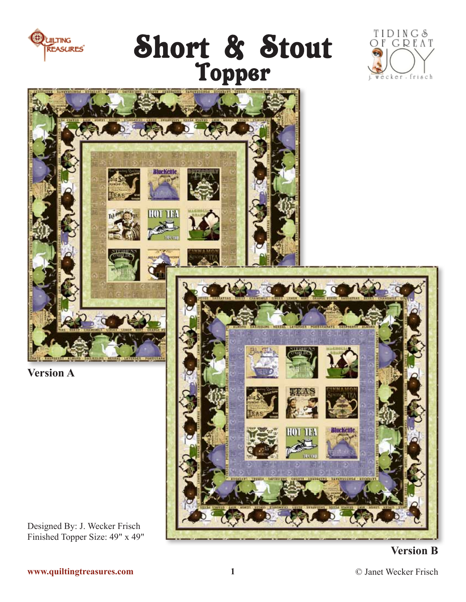

Short & Stout<br>Topper





### **Version B**

**www.quiltingtreasures.com**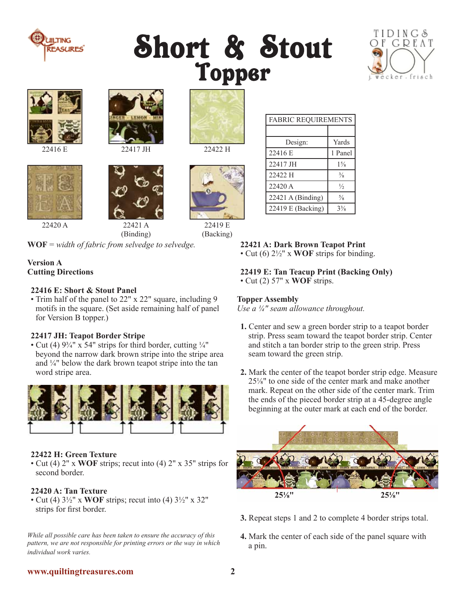

## Short & Stout Topper











22421 A 22420 A 22421 A 22419 E

(Binding)

**WOF** = *width of fabric from selvedge to selvedge.* 

### **Version A Cutting Directions**

### **22416 E: Short & Stout Panel**

• Trim half of the panel to 22" x 22" square, including 9 motifs in the square. (Set aside remaining half of panel for Version B topper.)

### **22417 JH: Teapot Border Stripe**

• Cut (4)  $9\frac{3}{4}$ " x 54" strips for third border, cutting  $\frac{1}{4}$ " beyond the narrow dark brown stripe into the stripe area and ¼" below the dark brown teapot stripe into the tan word stripe area.



### **22422 H: Green Texture**

• Cut (4) 2" x **WOF** strips; recut into (4) 2" x 35" strips for second border.

### **22420 A: Tan Texture**

• Cut (4) 3½" x **WOF** strips; recut into (4) 3½" x 32" strips for first border.

*While all possible care has been taken to ensure the accuracy of this pattern, we are not responsible for printing errors or the way in which individual work varies.*

22416 E 22417 JH 22422 H



(Backing)

### **22421 A: Dark Brown Teapot Print** • Cut (6) 2½" x **WOF** strips for binding.

FABRIC REQUIREMENTS

Design: Yards 22416 E 1 Panel 22417 JH 1<sup>5</sup>/<sub>8</sub>  $22422 \text{ H}$   $\frac{3}{8}$ 22420 A  $\frac{1}{2}$ 22421 A (Binding)  $\frac{5}{8}$ 22419 E (Backing)  $3\frac{3}{8}$ 

### **22419 E: Tan Teacup Print (Backing Only)**

• Cut (2) 57" x **WOF** strips.

### **Topper Assembly**

*Use a ¼" seam allowance throughout.*

- **1.** Center and sew a green border strip to a teapot border strip. Press seam toward the teapot border strip. Center and stitch a tan border strip to the green strip. Press seam toward the green strip.
- **2.** Mark the center of the teapot border strip edge. Measure 25⅛" to one side of the center mark and make another mark. Repeat on the other side of the center mark. Trim the ends of the pieced border strip at a 45-degree angle beginning at the outer mark at each end of the border.



- **3.** Repeat steps 1 and 2 to complete 4 border strips total.
- **4.** Mark the center of each side of the panel square with a pin.

### **www.quiltingtreasures.com 2**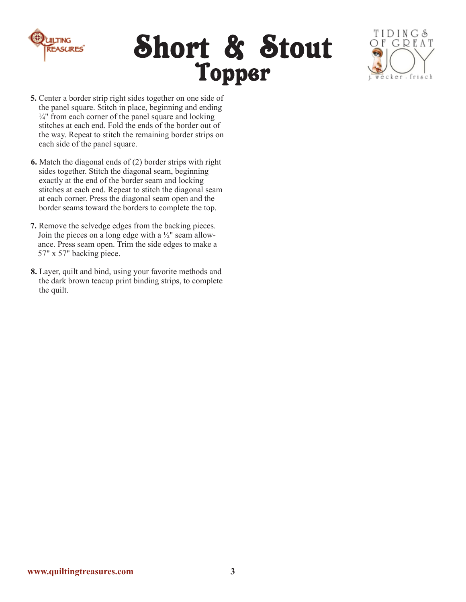

## Short & Stout Topper



- **5.** Center a border strip right sides together on one side of the panel square. Stitch in place, beginning and ending  $\frac{1}{4}$ " from each corner of the panel square and locking stitches at each end. Fold the ends of the border out of the way. Repeat to stitch the remaining border strips on each side of the panel square.
- **6.** Match the diagonal ends of (2) border strips with right sides together. Stitch the diagonal seam, beginning exactly at the end of the border seam and locking stitches at each end. Repeat to stitch the diagonal seam at each corner. Press the diagonal seam open and the border seams toward the borders to complete the top.
- **7.** Remove the selvedge edges from the backing pieces. Join the pieces on a long edge with a ½" seam allowance. Press seam open. Trim the side edges to make a 57" x 57" backing piece.
- **8.** Layer, quilt and bind, using your favorite methods and the dark brown teacup print binding strips, to complete the quilt.